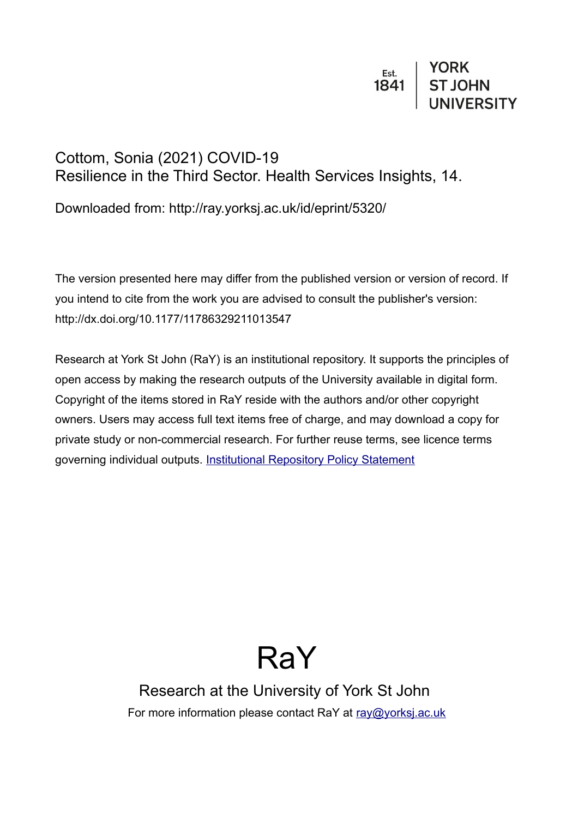# $\begin{array}{c|c} \n \texttt{Est.} & \texttt{YORK} \\
\texttt{1841} & \texttt{ST JOHN} \\
& \texttt{UNIVERSITY}\n \end{array}$

# Cottom, Sonia (2021) COVID-19 Resilience in the Third Sector. Health Services Insights, 14.

Downloaded from: http://ray.yorksj.ac.uk/id/eprint/5320/

The version presented here may differ from the published version or version of record. If you intend to cite from the work you are advised to consult the publisher's version: http://dx.doi.org/10.1177/11786329211013547

Research at York St John (RaY) is an institutional repository. It supports the principles of open access by making the research outputs of the University available in digital form. Copyright of the items stored in RaY reside with the authors and/or other copyright owners. Users may access full text items free of charge, and may download a copy for private study or non-commercial research. For further reuse terms, see licence terms governing individual outputs. [Institutional Repository Policy Statement](https://www.yorksj.ac.uk/ils/repository-policies/)

# RaY

Research at the University of York St John For more information please contact RaY at [ray@yorksj.ac.uk](mailto:ray@yorksj.ac.uk)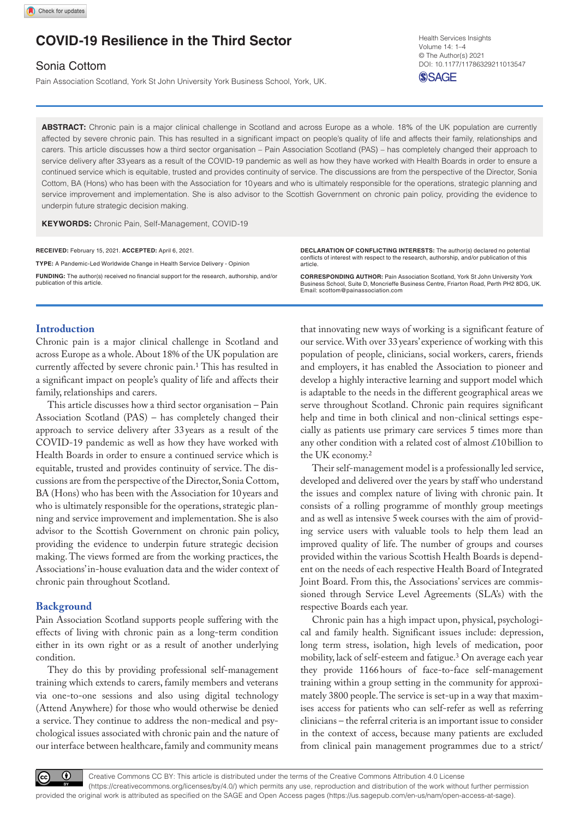# **COVID-19 Resilience in the Third Sector**

### Sonia Cottom

Pain Association Scotland, York St John University York Business School, York, UK.

https://doi.org/10.1177/11786329211013547 DOI: 10.1177/11786329211013547 Health Services Insights Volume 14: 1–4 © The Author(s) 2021

**SSAGE** 

**ABSTRACT:** Chronic pain is a major clinical challenge in Scotland and across Europe as a whole. 18% of the UK population are currently affected by severe chronic pain. This has resulted in a significant impact on people's quality of life and affects their family, relationships and carers. This article discusses how a third sector organisation – Pain Association Scotland (PAS) – has completely changed their approach to service delivery after 33years as a result of the COVID-19 pandemic as well as how they have worked with Health Boards in order to ensure a continued service which is equitable, trusted and provides continuity of service. The discussions are from the perspective of the Director, Sonia Cottom, BA (Hons) who has been with the Association for 10years and who is ultimately responsible for the operations, strategic planning and service improvement and implementation. She is also advisor to the Scottish Government on chronic pain policy, providing the evidence to underpin future strategic decision making.

**Keywords:** Chronic Pain, Self-Management, COVID-19

**RECEIVED:** February 15, 2021. **ACCEPTED:** April 6, 2021.

**Type:** A Pandemic-Led Worldwide Change in Health Service Delivery - Opinion

**Funding:** The author(s) received no financial support for the research, authorship, and/or publication of this article

**Declaration of conflicting interests:** The author(s) declared no potential conflicts of interest with respect to the research, authorship, and/or publication of this article.

**CORRESPONDING AUTHOR:** Pain Association Scotland, York St John University York Business School, Suite D, Moncrieffe Business Centre, Friarton Road, Perth PH2 8DG, UK. Email: [scottom@painassociation.com](mailto:scottom@painassociation.com)

#### **Introduction**

Chronic pain is a major clinical challenge in Scotland and across Europe as a whole. About 18% of the UK population are currently affected by severe chronic pain.1 This has resulted in a significant impact on people's quality of life and affects their family, relationships and carers.

This article discusses how a third sector organisation – Pain Association Scotland (PAS) – has completely changed their approach to service delivery after 33years as a result of the COVID-19 pandemic as well as how they have worked with Health Boards in order to ensure a continued service which is equitable, trusted and provides continuity of service. The discussions are from the perspective of the Director, Sonia Cottom, BA (Hons) who has been with the Association for 10years and who is ultimately responsible for the operations, strategic planning and service improvement and implementation. She is also advisor to the Scottish Government on chronic pain policy, providing the evidence to underpin future strategic decision making. The views formed are from the working practices, the Associations' in-house evaluation data and the wider context of chronic pain throughout Scotland.

#### **Background**

Pain Association Scotland supports people suffering with the effects of living with chronic pain as a long-term condition either in its own right or as a result of another underlying condition.

They do this by providing professional self-management training which extends to carers, family members and veterans via one-to-one sessions and also using digital technology (Attend Anywhere) for those who would otherwise be denied a service. They continue to address the non-medical and psychological issues associated with chronic pain and the nature of our interface between healthcare, family and community means

that innovating new ways of working is a significant feature of our service. With over 33 years' experience of working with this population of people, clinicians, social workers, carers, friends and employers, it has enabled the Association to pioneer and develop a highly interactive learning and support model which is adaptable to the needs in the different geographical areas we serve throughout Scotland. Chronic pain requires significant help and time in both clinical and non-clinical settings especially as patients use primary care services 5 times more than any other condition with a related cost of almost £10billion to the UK economy.2

Their self-management model is a professionally led service, developed and delivered over the years by staff who understand the issues and complex nature of living with chronic pain. It consists of a rolling programme of monthly group meetings and as well as intensive 5week courses with the aim of providing service users with valuable tools to help them lead an improved quality of life. The number of groups and courses provided within the various Scottish Health Boards is dependent on the needs of each respective Health Board of Integrated Joint Board. From this, the Associations' services are commissioned through Service Level Agreements (SLA's) with the respective Boards each year.

Chronic pain has a high impact upon, physical, psychological and family health. Significant issues include: depression, long term stress, isolation, high levels of medication, poor mobility, lack of self-esteem and fatigue.3 On average each year they provide 1166hours of face-to-face self-management training within a group setting in the community for approximately 3800 people. The service is set-up in a way that maximises access for patients who can self-refer as well as referring clinicians – the referral criteria is an important issue to consider in the context of access, because many patients are excluded from clinical pain management programmes due to a strict/

 $\bigcirc$ 

Creative Commons CC BY: This article is distributed under the terms of the Creative Commons Attribution 4.0 License (https://creativecommons.org/licenses/by/4.0/) which permits any use, reproduction and distribution of the work without further permission provided the original work is attributed as specified on the SAGE and Open Access pages (https://us.sagepub.com/en-us/nam/open-access-at-sage).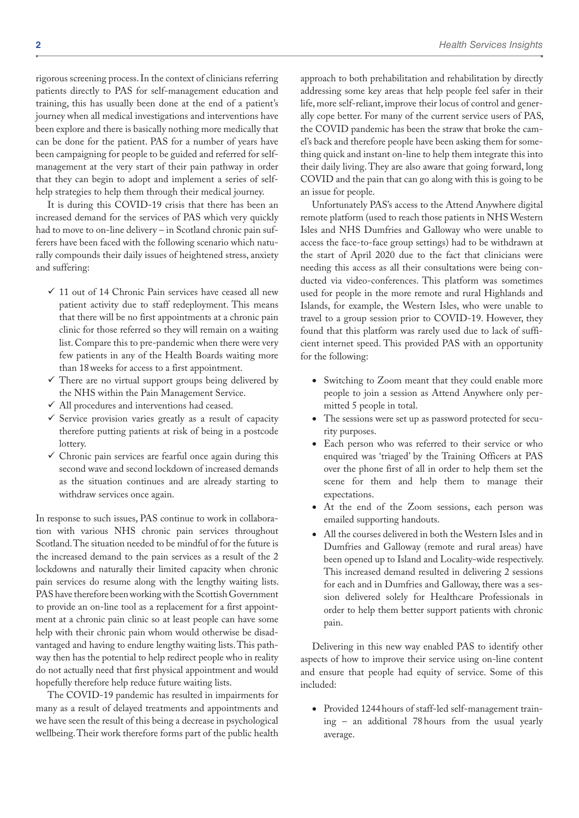rigorous screening process. In the context of clinicians referring patients directly to PAS for self-management education and training, this has usually been done at the end of a patient's journey when all medical investigations and interventions have been explore and there is basically nothing more medically that can be done for the patient. PAS for a number of years have been campaigning for people to be guided and referred for selfmanagement at the very start of their pain pathway in order that they can begin to adopt and implement a series of selfhelp strategies to help them through their medical journey.

It is during this COVID-19 crisis that there has been an increased demand for the services of PAS which very quickly had to move to on-line delivery – in Scotland chronic pain sufferers have been faced with the following scenario which naturally compounds their daily issues of heightened stress, anxiety and suffering:

- $\checkmark$  11 out of 14 Chronic Pain services have ceased all new patient activity due to staff redeployment. This means that there will be no first appointments at a chronic pain clinic for those referred so they will remain on a waiting list. Compare this to pre-pandemic when there were very few patients in any of the Health Boards waiting more than 18weeks for access to a first appointment.
- $\checkmark$  There are no virtual support groups being delivered by the NHS within the Pain Management Service.
- All procedures and interventions had ceased.
- $\checkmark$  Service provision varies greatly as a result of capacity therefore putting patients at risk of being in a postcode lottery.
- $\checkmark$  Chronic pain services are fearful once again during this second wave and second lockdown of increased demands as the situation continues and are already starting to withdraw services once again.

In response to such issues, PAS continue to work in collaboration with various NHS chronic pain services throughout Scotland. The situation needed to be mindful of for the future is the increased demand to the pain services as a result of the 2 lockdowns and naturally their limited capacity when chronic pain services do resume along with the lengthy waiting lists. PAS have therefore been working with the Scottish Government to provide an on-line tool as a replacement for a first appointment at a chronic pain clinic so at least people can have some help with their chronic pain whom would otherwise be disadvantaged and having to endure lengthy waiting lists. This pathway then has the potential to help redirect people who in reality do not actually need that first physical appointment and would hopefully therefore help reduce future waiting lists.

The COVID-19 pandemic has resulted in impairments for many as a result of delayed treatments and appointments and we have seen the result of this being a decrease in psychological wellbeing. Their work therefore forms part of the public health

approach to both prehabilitation and rehabilitation by directly addressing some key areas that help people feel safer in their life, more self-reliant, improve their locus of control and generally cope better. For many of the current service users of PAS, the COVID pandemic has been the straw that broke the camel's back and therefore people have been asking them for something quick and instant on-line to help them integrate this into their daily living. They are also aware that going forward, long COVID and the pain that can go along with this is going to be an issue for people.

Unfortunately PAS's access to the Attend Anywhere digital remote platform (used to reach those patients in NHS Western Isles and NHS Dumfries and Galloway who were unable to access the face-to-face group settings) had to be withdrawn at the start of April 2020 due to the fact that clinicians were needing this access as all their consultations were being conducted via video-conferences. This platform was sometimes used for people in the more remote and rural Highlands and Islands, for example, the Western Isles, who were unable to travel to a group session prior to COVID-19. However, they found that this platform was rarely used due to lack of sufficient internet speed. This provided PAS with an opportunity for the following:

- Switching to Zoom meant that they could enable more people to join a session as Attend Anywhere only permitted 5 people in total.
- The sessions were set up as password protected for security purposes.
- Each person who was referred to their service or who enquired was 'triaged' by the Training Officers at PAS over the phone first of all in order to help them set the scene for them and help them to manage their expectations.
- At the end of the Zoom sessions, each person was emailed supporting handouts.
- All the courses delivered in both the Western Isles and in Dumfries and Galloway (remote and rural areas) have been opened up to Island and Locality-wide respectively. This increased demand resulted in delivering 2 sessions for each and in Dumfries and Galloway, there was a session delivered solely for Healthcare Professionals in order to help them better support patients with chronic pain.

Delivering in this new way enabled PAS to identify other aspects of how to improve their service using on-line content and ensure that people had equity of service. Some of this included:

• Provided 1244hours of staff-led self-management training – an additional 78hours from the usual yearly average.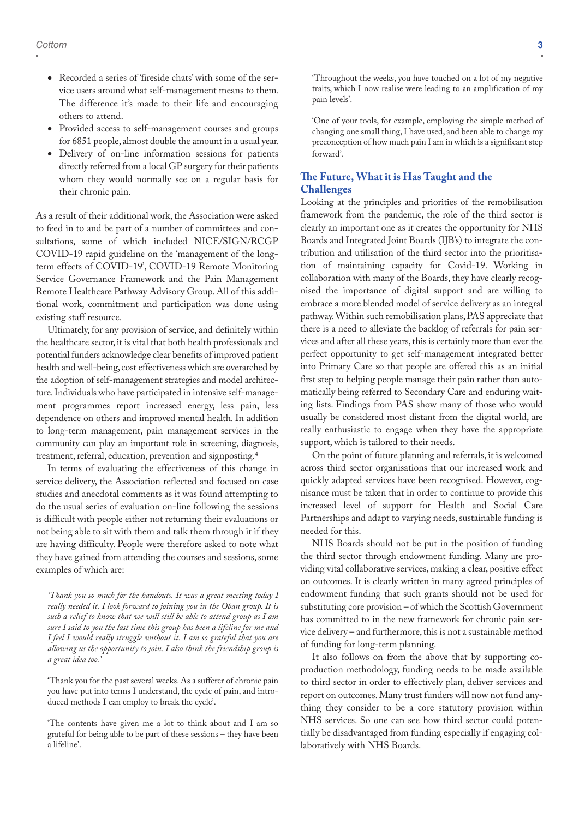- Recorded a series of 'fireside chats' with some of the service users around what self-management means to them. The difference it's made to their life and encouraging others to attend.
- Provided access to self-management courses and groups for 6851 people, almost double the amount in a usual year.
- Delivery of on-line information sessions for patients directly referred from a local GP surgery for their patients whom they would normally see on a regular basis for their chronic pain.

As a result of their additional work, the Association were asked to feed in to and be part of a number of committees and consultations, some of which included NICE/SIGN/RCGP COVID-19 rapid guideline on the 'management of the longterm effects of COVID-19', COVID-19 Remote Monitoring Service Governance Framework and the Pain Management Remote Healthcare Pathway Advisory Group. All of this additional work, commitment and participation was done using existing staff resource.

Ultimately, for any provision of service, and definitely within the healthcare sector, it is vital that both health professionals and potential funders acknowledge clear benefits of improved patient health and well-being, cost effectiveness which are overarched by the adoption of self-management strategies and model architecture. Individuals who have participated in intensive self-management programmes report increased energy, less pain, less dependence on others and improved mental health. In addition to long-term management, pain management services in the community can play an important role in screening, diagnosis, treatment, referral, education, prevention and signposting.4

In terms of evaluating the effectiveness of this change in service delivery, the Association reflected and focused on case studies and anecdotal comments as it was found attempting to do the usual series of evaluation on-line following the sessions is difficult with people either not returning their evaluations or not being able to sit with them and talk them through it if they are having difficulty. People were therefore asked to note what they have gained from attending the courses and sessions, some examples of which are:

*'Thank you so much for the handouts. It was a great meeting today I really needed it. I look forward to joining you in the Oban group. It is such a relief to know that we will still be able to attend group as I am sure I said to you the last time this group has been a lifeline for me and I feel I would really struggle without it. I am so grateful that you are allowing us the opportunity to join. I also think the friendship group is a great idea too.'*

'Thank you for the past several weeks. As a sufferer of chronic pain you have put into terms I understand, the cycle of pain, and introduced methods I can employ to break the cycle'.

'The contents have given me a lot to think about and I am so grateful for being able to be part of these sessions – they have been a lifeline'.

'Throughout the weeks, you have touched on a lot of my negative traits, which I now realise were leading to an amplification of my pain levels'.

'One of your tools, for example, employing the simple method of changing one small thing, I have used, and been able to change my preconception of how much pain I am in which is a significant step forward'.

#### **The Future, What it is Has Taught and the Challenges**

Looking at the principles and priorities of the remobilisation framework from the pandemic, the role of the third sector is clearly an important one as it creates the opportunity for NHS Boards and Integrated Joint Boards (IJB's) to integrate the contribution and utilisation of the third sector into the prioritisation of maintaining capacity for Covid-19. Working in collaboration with many of the Boards, they have clearly recognised the importance of digital support and are willing to embrace a more blended model of service delivery as an integral pathway. Within such remobilisation plans, PAS appreciate that there is a need to alleviate the backlog of referrals for pain services and after all these years, this is certainly more than ever the perfect opportunity to get self-management integrated better into Primary Care so that people are offered this as an initial first step to helping people manage their pain rather than automatically being referred to Secondary Care and enduring waiting lists. Findings from PAS show many of those who would usually be considered most distant from the digital world, are really enthusiastic to engage when they have the appropriate support, which is tailored to their needs.

On the point of future planning and referrals, it is welcomed across third sector organisations that our increased work and quickly adapted services have been recognised. However, cognisance must be taken that in order to continue to provide this increased level of support for Health and Social Care Partnerships and adapt to varying needs, sustainable funding is needed for this.

NHS Boards should not be put in the position of funding the third sector through endowment funding. Many are providing vital collaborative services, making a clear, positive effect on outcomes. It is clearly written in many agreed principles of endowment funding that such grants should not be used for substituting core provision – of which the Scottish Government has committed to in the new framework for chronic pain service delivery – and furthermore, this is not a sustainable method of funding for long-term planning.

It also follows on from the above that by supporting coproduction methodology, funding needs to be made available to third sector in order to effectively plan, deliver services and report on outcomes. Many trust funders will now not fund anything they consider to be a core statutory provision within NHS services. So one can see how third sector could potentially be disadvantaged from funding especially if engaging collaboratively with NHS Boards.